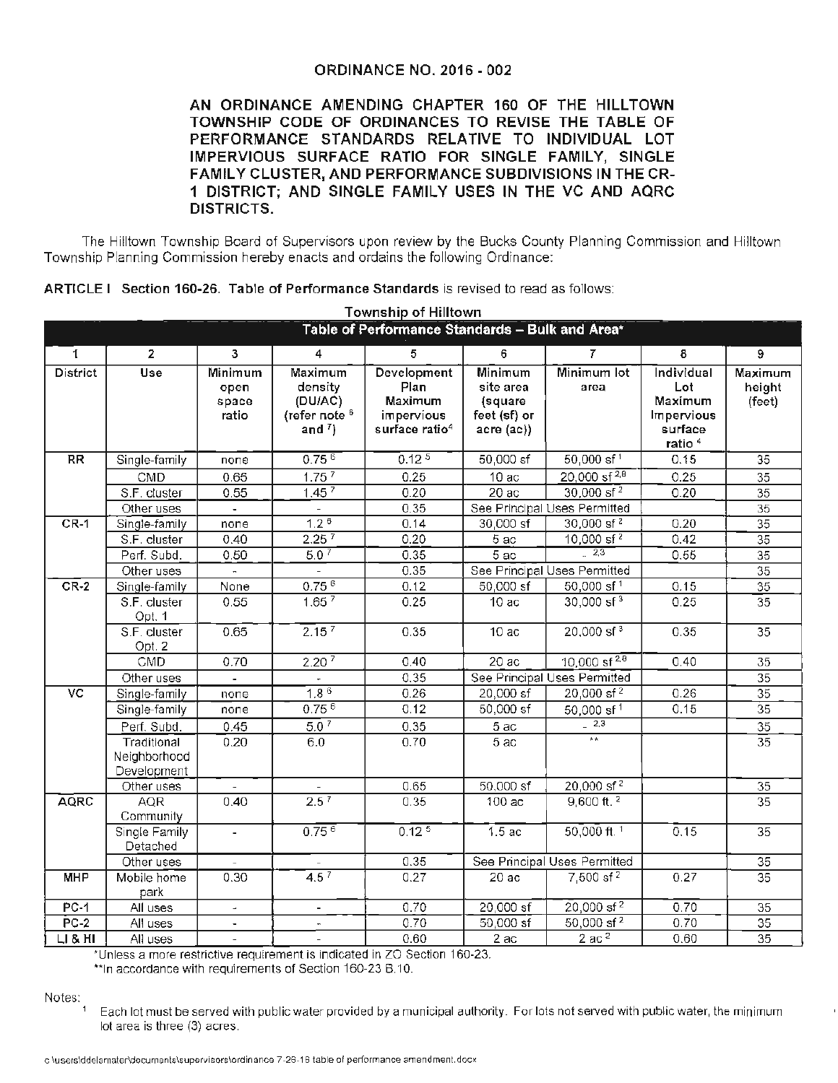## **ORDINANCE NO. 2016** - **002**

**AN ORDINANCE AMENDING CHAPTER 160 OF THE HILLTOWN TOWNSHIP CODE OF ORDINANCES TO REVISE THE TABLE OF PERFORMANCE STANDARDS RELATIVE TO INDIVIDUAL LOT IMPERVIOUS SURFACE RATIO FOR SINGLE FAMILY, SINGLE FAMILY CLUSTER, AND PERFORMANCE SUBDIVISIONS IN THE CR-1 DISTRICT; AND SINGLE FAMILY USES IN THE VC AND AQRC DISTRICTS.** 

The Hilltown Township Board of Supervisors upon review by the Bucks County Planning Commission and Hilltown Township Planning Commission hereby enacts and ordains the following Ordinance:

|  |  |  | ARTICLE I Section 160-26. Table of Performance Standards is revised to read as follows: |
|--|--|--|-----------------------------------------------------------------------------------------|
|--|--|--|-----------------------------------------------------------------------------------------|

|                                                 |                                            |                                   |                                                                                        | ARTICLET Section 160-Z6. Table of Performance Standards is revised to read as iollows.<br><b>Township of Hilltown</b> |                                                                   |                              |                                                                             |                             |  |  |  |
|-------------------------------------------------|--------------------------------------------|-----------------------------------|----------------------------------------------------------------------------------------|-----------------------------------------------------------------------------------------------------------------------|-------------------------------------------------------------------|------------------------------|-----------------------------------------------------------------------------|-----------------------------|--|--|--|
| Table of Performance Standards - Bulk and Area* |                                            |                                   |                                                                                        |                                                                                                                       |                                                                   |                              |                                                                             |                             |  |  |  |
| $\mathbf{I}$                                    | $\mathbf{2}$                               | 3                                 | 4                                                                                      | 5                                                                                                                     | 6                                                                 | $\overline{7}$               | 8                                                                           | $\overline{9}$              |  |  |  |
| <b>District</b>                                 | <b>Use</b>                                 | Minimum<br>open<br>space<br>ratio | <b>Maximum</b><br>density<br>(DU/AC)<br>(refer note <sup>6</sup><br>and $\binom{7}{2}$ | Development<br>Plan<br>Maximum<br>impervious<br>surface ratio <sup>4</sup>                                            | Minimum<br>site area<br>(square<br>feet (sf) or<br>$accre$ $(ac)$ | Minimum lot<br>area          | Individual<br>Lot<br>Maximum<br>Impervious<br>surface<br>ratio <sup>4</sup> | Maximum<br>height<br>(feet) |  |  |  |
| <b>RR</b>                                       | Single-family                              | none                              | 0.75 <sup>6</sup>                                                                      | 0.12 <sup>5</sup>                                                                                                     | $50,000$ sf                                                       | $50,000$ sf <sup>1</sup>     | 0.15                                                                        | $\overline{35}$             |  |  |  |
|                                                 | CMD                                        | 0.65                              | 1.75 <sup>7</sup>                                                                      | 0.25                                                                                                                  | 10ac                                                              | $20,000$ sf <sup>2,8</sup>   | 0.25                                                                        | $\overline{35}$             |  |  |  |
|                                                 | S.F. cluster                               | 0.55                              | 1.45 <sup>7</sup>                                                                      | 0.20                                                                                                                  | 20ac                                                              | $30,000$ sf <sup>2</sup>     | 0.20                                                                        | $\overline{35}$             |  |  |  |
|                                                 | Other uses                                 |                                   |                                                                                        | 0.35                                                                                                                  |                                                                   | See Principal Uses Permitted |                                                                             | $\overline{35}$             |  |  |  |
| $CR-1$                                          | Single-family                              | none                              | 1.2 <sup>6</sup>                                                                       | 0.14                                                                                                                  | 30,000 sf                                                         | $30,000$ sf <sup>2</sup>     | 0.20                                                                        | $\overline{35}$             |  |  |  |
|                                                 | S.F. cluster                               | 0.40                              | 2.25 <sup>7</sup>                                                                      | 0.20                                                                                                                  | $5a$ c                                                            | $10,000$ sf <sup>2</sup>     | 0.42                                                                        | $\overline{35}$             |  |  |  |
|                                                 | Perf. Subd.                                | 0.50                              | 5.0 <sup>7</sup>                                                                       | 0.35                                                                                                                  | $\overline{5}$ ac                                                 | $-2,3$                       | 0.55                                                                        | $\overline{35}$             |  |  |  |
|                                                 | Other uses                                 |                                   |                                                                                        | 0.35                                                                                                                  |                                                                   | See Principal Uses Permitted |                                                                             | $\overline{35}$             |  |  |  |
| $CR-2$                                          | Single-family                              | None                              | $0.75^{6}$                                                                             | 0.12                                                                                                                  | 50,000 sf                                                         | 50,000 sf <sup>1</sup>       | 0.15                                                                        | $\overline{35}$             |  |  |  |
|                                                 | S.F. cluster<br>Opt. 1                     | 0.55                              | 1.65 <sup>7</sup>                                                                      | 0.25                                                                                                                  | 10ac                                                              | $30,000$ sf <sup>3</sup>     | 0.25                                                                        | $\overline{35}$             |  |  |  |
|                                                 | S.F. cluster<br>Opt. 2                     | 0.65                              | 2.15 <sup>7</sup>                                                                      | 0.35                                                                                                                  | 10ac                                                              | $20,000$ sf <sup>3</sup>     | 0.35                                                                        | $\overline{35}$             |  |  |  |
|                                                 | CMD                                        | 0.70                              | 2.20 <sup>7</sup>                                                                      | 0.40                                                                                                                  | 20ac                                                              | 10,000 sf $^{2,8}$           | 0.40                                                                        | 35                          |  |  |  |
|                                                 | Other uses                                 |                                   | $\overline{\phantom{a}}$                                                               | 0,35                                                                                                                  | See Principal Uses Permitted                                      |                              |                                                                             | $\overline{35}$             |  |  |  |
| $\overline{\text{VC}}$                          | Single-family                              | none                              | $1,8^{6}$                                                                              | 0.26                                                                                                                  | 20,000 sf                                                         | $20,000$ sf <sup>2</sup>     | 0.26                                                                        | $\overline{35}$             |  |  |  |
|                                                 | Single-family                              | none                              | $0.75^{6}$                                                                             | 0.12                                                                                                                  | 50,000 sf                                                         | 50,000 sf <sup>1</sup>       | 0.15                                                                        | 35                          |  |  |  |
|                                                 | Perf. Subd.                                | 0.45                              | 5.0 <sup>7</sup>                                                                       | 0.35                                                                                                                  | 5 ac                                                              | $-2.3$                       |                                                                             | $\overline{35}$             |  |  |  |
|                                                 | Traditional<br>Neighborhood<br>Development | 0.20                              | 6.0                                                                                    | 0.70                                                                                                                  | 5ac                                                               | $+$                          |                                                                             | $\overline{35}$             |  |  |  |
|                                                 | Other uses                                 |                                   |                                                                                        | 0.65                                                                                                                  | 50,000 sf                                                         | 20,000 sf <sup>2</sup>       |                                                                             | 35                          |  |  |  |
| <b>AQRC</b>                                     | <b>AQR</b><br>Community                    | 0.40                              | $2.5^{7}$                                                                              | 0.35                                                                                                                  | 100ac                                                             | $9,600$ ft. $2$              |                                                                             | $\overline{35}$             |  |  |  |
|                                                 | Single Family<br>Detached                  | $\overline{\phantom{0}}$          | $0.75^{6}$                                                                             | 0.12 <sup>5</sup>                                                                                                     | 1.5 <sub>ac</sub>                                                 | 50,000 ft. $1$               | 0.15                                                                        | $\overline{35}$             |  |  |  |
|                                                 | Other uses                                 |                                   |                                                                                        | 0.35                                                                                                                  | See Principal Uses Permitted                                      |                              |                                                                             | $\overline{35}$             |  |  |  |
| <b>MHP</b>                                      | Mobile home<br>park                        | 0.30                              | 4.5 <sup>7</sup>                                                                       | 0.27                                                                                                                  | 20ac                                                              | 7,500 sf <sup>2</sup>        | 0.27                                                                        | $\overline{35}$             |  |  |  |
| $PC-1$                                          | All uses                                   | $\overline{\phantom{a}}$          | $\overline{\phantom{a}}$                                                               | 0.70                                                                                                                  | $20,000$ sf                                                       | $20,000$ sf <sup>2</sup>     | 0.70                                                                        | $\overline{35}$             |  |  |  |
| $PC-2$                                          | All uses                                   |                                   | $\blacksquare$                                                                         | 0.70                                                                                                                  | $50,000$ sf                                                       | 50,000 sf <sup>2</sup>       | 0.70                                                                        | $\overline{35}$             |  |  |  |
| LI & HI                                         | All uses                                   | $\equiv$                          | $\overline{\phantom{a}}$                                                               | 0.60                                                                                                                  | 2 ac                                                              | 2ac <sup>2</sup>             | 0.60                                                                        | $\overline{35}$             |  |  |  |

\*Unless a more restrictive requirement is indicated in ZO Section 160-23.

\*\*In accordance with requirements of Section 160-23 B.10.

Notes:

 $1$  Each lot must be served with public water provided by a municipal authority. For lots not served with public water, the minimum lot area is three (3) acres.